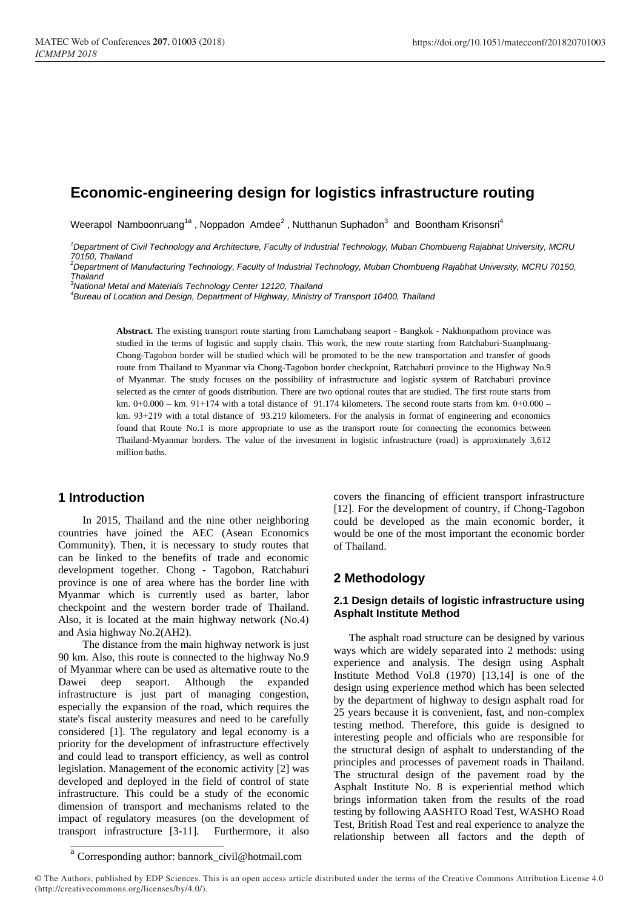# **Economic-engineering design for logistics infrastructure routing**

Weerapol Namboonruang<sup>1a</sup>, Noppadon Amdee<sup>2</sup>, Nutthanun Suphadon<sup>3</sup> and Boontham Krisonsri<sup>4</sup>

*<sup>1</sup>Department of Civil Technology and Architecture, Faculty of Industrial Technology, Muban Chombueng Rajabhat University, MCRU 70150, Thailand*

*<sup>2</sup>Department of Manufacturing Technology, Faculty of Industrial Technology, Muban Chombueng Rajabhat University, MCRU 70150, Thailand*

*<sup>3</sup>National Metal and Materials Technology Center 12120, Thailand*

*4 Bureau of Location and Design, Department of Highway, Ministry of Transport 10400, Thailand*

**Abstract.** The existing transport route starting from Lamchabang seaport - Bangkok - Nakhonpathom province was studied in the terms of logistic and supply chain. This work, the new route starting from Ratchaburi-Suanphuang-Chong-Tagobon border will be studied which will be promoted to be the new transportation and transfer of goods route from Thailand to Myanmar via Chong-Tagobon border checkpoint, Ratchaburi province to the Highway No.9 of Myanmar. The study focuses on the possibility of infrastructure and logistic system of Ratchaburi province selected as the center of goods distribution. There are two optional routes that are studied. The first route starts from km. 0+0.000 – km. 91+174 with a total distance of 91.174 kilometers. The second route starts from km. 0+0.000 – km. 93+219 with a total distance of 93.219 kilometers. For the analysis in format of engineering and economics found that Route No.1 is more appropriate to use as the transport route for connecting the economics between Thailand-Myanmar borders. The value of the investment in logistic infrastructure (road) is approximately 3,612 million baths.

## **1 Introduction**

In 2015, Thailand and the nine other neighboring countries have joined the AEC (Asean Economics Community). Then, it is necessary to study routes that can be linked to the benefits of trade and economic development together. Chong - Tagobon, Ratchaburi province is one of area where has the border line with Myanmar which is currently used as barter, labor checkpoint and the western border trade of Thailand. Also, it is located at the main highway network (No.4) and Asia highway No.2(AH2).

The distance from the main highway network is just 90 km. Also, this route is connected to the highway No.9 of Myanmar where can be used as alternative route to the Dawei deep seaport. Although the expanded infrastructure is just part of managing congestion, especially the expansion of the road, which requires the state's fiscal austerity measures and need to be carefully considered [1]. The regulatory and legal economy is a priority for the development of infrastructure effectively and could lead to transport efficiency, as well as control legislation. Management of the economic activity [2] was developed and deployed in the field of control of state infrastructure. This could be a study of the economic dimension of transport and mechanisms related to the impact of regulatory measures (on the development of transport infrastructure [3-11]. Furthermore, it also covers the financing of efficient transport infrastructure [12]. For the development of country, if Chong-Tagobon could be developed as the main economic border, it would be one of the most important the economic border of Thailand.

## **2 Methodology**

## **2.1 Design details of logistic infrastructure using Asphalt Institute Method**

The asphalt road structure can be designed by various ways which are widely separated into 2 methods: using experience and analysis. The design using Asphalt Institute Method Vol.8 (1970) [13,14] is one of the design using experience method which has been selected by the department of highway to design asphalt road for 25 years because it is convenient, fast, and non-complex testing method. Therefore, this guide is designed to interesting people and officials who are responsible for the structural design of asphalt to understanding of the principles and processes of pavement roads in Thailand. The structural design of the pavement road by the Asphalt Institute No. 8 is experiential method which brings information taken from the results of the road testing by following AASHTO Road Test, WASHO Road Test, British Road Test and real experience to analyze the relationship between all factors and the depth of

a Corresponding author: bannork\_civil@hotmail.com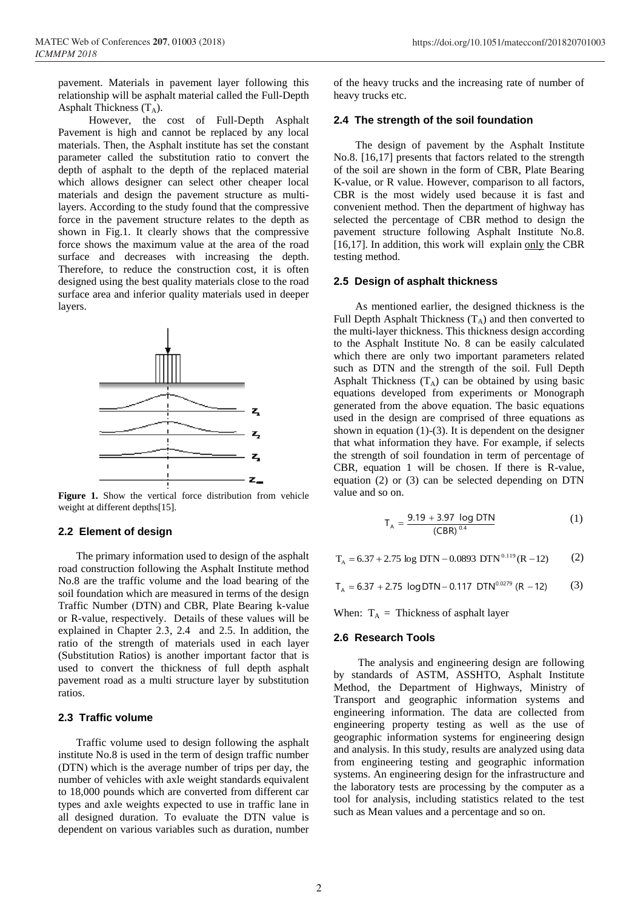pavement. Materials in pavement layer following this relationship will be asphalt material called the Full-Depth Asphalt Thickness  $(T_A)$ .

However, the cost of Full-Depth Asphalt Pavement is high and cannot be replaced by any local materials. Then, the Asphalt institute has set the constant parameter called the substitution ratio to convert the depth of asphalt to the depth of the replaced material which allows designer can select other cheaper local materials and design the pavement structure as multilayers. According to the study found that the compressive force in the pavement structure relates to the depth as shown in Fig.1. It clearly shows that the compressive force shows the maximum value at the area of the road surface and decreases with increasing the depth. Therefore, to reduce the construction cost, it is often designed using the best quality materials close to the road surface area and inferior quality materials used in deeper layers.



**Figure 1.** Show the vertical force distribution from vehicle weight at different depths[15].

### **2.2 Element of design**

The primary information used to design of the asphalt road construction following the Asphalt Institute method No.8 are the traffic volume and the load bearing of the soil foundation which are measured in terms of the design Traffic Number (DTN) and CBR, Plate Bearing k-value or R-value, respectively. Details of these values will be explained in Chapter 2.3, 2.4 and 2.5. In addition, the ratio of the strength of materials used in each layer (Substitution Ratios) is another important factor that is used to convert the thickness of full depth asphalt pavement road as a multi structure layer by substitution ratios.

## **2.3 Traffic volume**

Traffic volume used to design following the asphalt institute No.8 is used in the term of design traffic number (DTN) which is the average number of trips per day, the number of vehicles with axle weight standards equivalent to 18,000 pounds which are converted from different car types and axle weights expected to use in traffic lane in all designed duration. To evaluate the DTN value is dependent on various variables such as duration, number of the heavy trucks and the increasing rate of number of heavy trucks etc.

#### **2.4 The strength of the soil foundation**

 The design of pavement by the Asphalt Institute No.8. [16,17] presents that factors related to the strength of the soil are shown in the form of CBR, Plate Bearing K-value, or R value. However, comparison to all factors, CBR is the most widely used because it is fast and convenient method. Then the department of highway has selected the percentage of CBR method to design the pavement structure following Asphalt Institute No.8. [16,17]. In addition, this work will explain [only](https://dict.longdo.com/search/thoroughly) the CBR testing method.

#### **2.5 Design of asphalt thickness**

 As mentioned earlier, the designed thickness is the Full Depth Asphalt Thickness  $(T_A)$  and then converted to the multi-layer thickness. This thickness design according to the Asphalt Institute No. 8 can be easily calculated which there are only two important parameters related such as DTN and the strength of the soil. Full Depth Asphalt Thickness  $(T_A)$  can be obtained by using basic equations developed from experiments or Monograph generated from the above equation. The basic equations used in the design are comprised of three equations as shown in equation (1)-(3). It is dependent on the designer that what information they have. For example, if selects the strength of soil foundation in term of percentage of CBR, equation 1 will be chosen. If there is R-value, equation (2) or (3) can be selected depending on DTN value and so on.

$$
T_A = \frac{9.19 + 3.97 \log DTN}{(CBR)^{0.4}}
$$
 (1)

$$
T_A = 6.37 + 2.75 \log DTN - 0.0893 DTN^{0.119} (R - 12)
$$
 (2)

 $T_A = 6.37 + 2.75 \text{ log DTN} - 0.117 \text{ DTN}^{0.0279}$  (R - 12) (3)

When:  $T_A$  = Thickness of asphalt layer

#### **2.6 Research Tools**

The analysis and engineering design are following by standards of ASTM, ASSHTO, Asphalt Institute Method, the Department of Highways, Ministry of Transport and geographic information systems and engineering information. The data are collected from engineering property testing as well as the use of geographic information systems for engineering design and analysis. In this study, results are analyzed using data from engineering testing and geographic information systems. An engineering design for the infrastructure and the laboratory tests are processing by the computer as a tool for analysis, including statistics related to the test such as Mean values and a percentage and so on.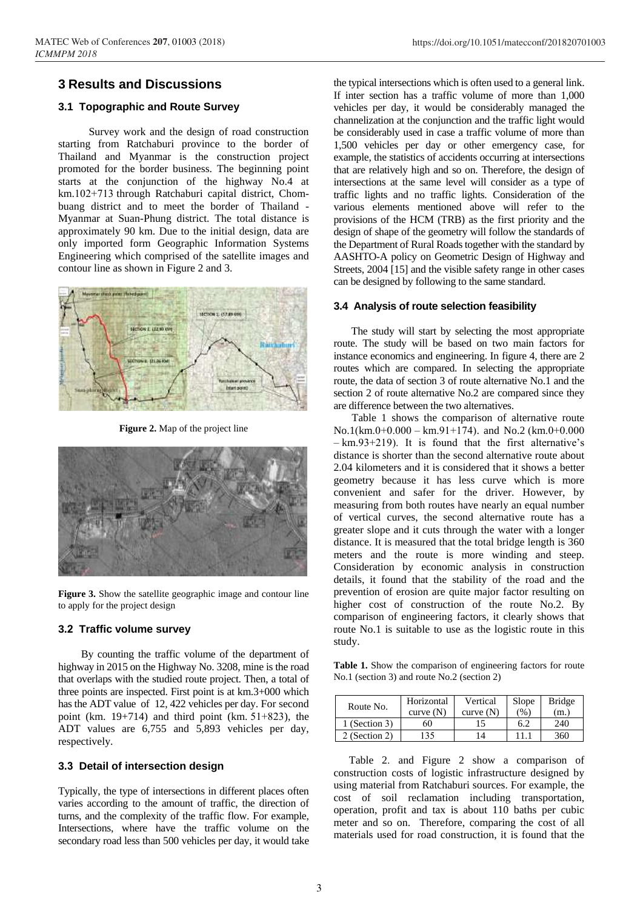## **3 Results and Discussions**

## **3.1 Topographic and Route Survey**

Survey work and the design of road construction starting from Ratchaburi province to the border of Thailand and Myanmar is the construction project promoted for the border business. The beginning point starts at the conjunction of the highway No.4 at km.102+713 through Ratchaburi capital district, Chombuang district and to meet the border of Thailand - Myanmar at Suan-Phung district. The total distance is approximately 90 km. Due to the initial design, data are only imported form Geographic Information Systems Engineering which comprised of the satellite images and contour line as shown in Figure 2 and 3.



**Figure 2.** Map of the project line



**Figure 3.** Show the satellite geographic image and contour line to apply for the project design

## **3.2 Traffic volume survey**

By counting the traffic volume of the department of highway in 2015 on the Highway No. 3208, mine is the road that overlaps with the studied route project. Then, a total of three points are inspected. First point is at km.3+000 which has the ADT value of 12, 422 vehicles per day. For second point (km.  $19+714$ ) and third point (km.  $51+823$ ), the ADT values are 6,755 and 5,893 vehicles per day, respectively.

## **3.3 Detail of intersection design**

Typically, the type of intersections in different places often varies according to the amount of traffic, the direction of turns, and the complexity of the traffic flow. For example, Intersections, where have the traffic volume on the secondary road less than 500 vehicles per day, it would take

the typical intersections which is often used to a general link. If inter section has a traffic volume of more than 1,000 vehicles per day, it would be considerably managed the channelization at the conjunction and the traffic light would be considerably used in case a traffic volume of more than 1,500 vehicles per day or other emergency case, for example, the statistics of accidents occurring at intersections that are relatively high and so on. Therefore, the design of intersections at the same level will consider as a type of traffic lights and no traffic lights. Consideration of the various elements mentioned above will refer to the provisions of the HCM (TRB) as the first priority and the design of shape of the geometry will follow the standards of the Department of Rural Roads together with the standard by AASHTO-A policy on Geometric Design of Highway and Streets, 2004 [15] and the visible safety range in other cases can be designed by following to the same standard.

## **3.4 Analysis of route selection feasibility**

 The study will start by selecting the most appropriate route. The study will be based on two main factors for instance economics and engineering. In figure 4, there are 2 routes which are compared. In selecting the appropriate route, the data of section 3 of route alternative No.1 and the section 2 of route alternative No.2 are compared since they are difference between the two alternatives.

Table 1 shows the comparison of alternative route No.1(km.0+0.000 – km.91+174). and No.2 (km.0+0.000 – km.93+219). It is found that the first alternative's distance is shorter than the second alternative route about 2.04 kilometers and it is considered that it shows a better geometry because it has less curve which is more convenient and safer for the driver. However, by measuring from both routes have nearly an equal number of vertical curves, the second alternative route has a greater slope and it cuts through the water with a longer distance. It is measured that the total bridge length is 360 meters and the route is more winding and steep. Consideration by economic analysis in construction details, it found that the stability of the road and the prevention of erosion are quite major factor resulting on higher cost of construction of the route No.2. By comparison of engineering factors, it clearly shows that route No.1 is suitable to use as the logistic route in this study.

Table 1. Show the comparison of engineering factors for route No.1 (section 3) and route No.2 (section 2)

| Route No.     | Horizontal | Vertical    | Slope<br>(96) | <b>Bridge</b> |
|---------------|------------|-------------|---------------|---------------|
|               | curve(N)   | curve $(N)$ |               | (m.)          |
| 1 (Section 3) | 60         |             | 6.2           | 240           |
| 2 (Section 2) | 35         | 14          |               | 360           |

Table 2. and Figure 2 show a comparison of construction costs of logistic infrastructure designed by using material from Ratchaburi sources. For example, the cost of soil reclamation including transportation, operation, profit and tax is about 110 baths per cubic meter and so on. Therefore, comparing the cost of all materials used for road construction, it is found that the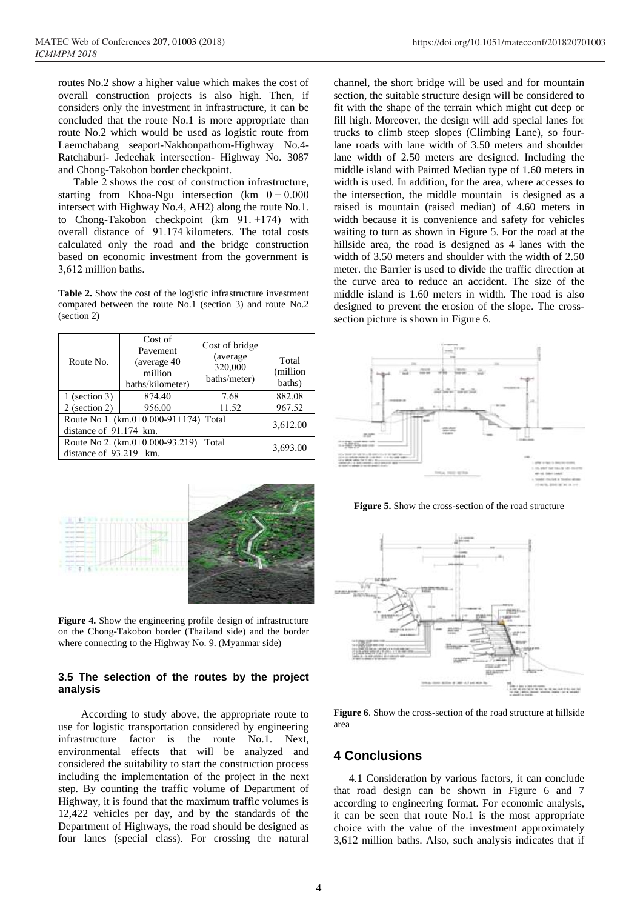routes No.2 show a higher value which makes the cost of overall construction projects is also high. Then, if considers only the investment in infrastructure, it can be concluded that the route No.1 is more appropriate than route No.2 which would be used as logistic route from Laemchabang seaport-Nakhonpathom-Highway No.4- Ratchaburi- Jedeehak intersection- Highway No. 3087 and Chong-Takobon border checkpoint.

Table 2 shows the cost of construction infrastructure, starting from Khoa-Ngu intersection (km  $0 + 0.000$ intersect with Highway No.4, AH2) along the route No.1. to Chong-Takobon checkpoint (km 91. +174) with overall distance of 91.174 kilometers. The total costs calculated only the road and the bridge construction based on economic investment from the government is 3,612 million baths.

**Table 2.** Show the cost of the logistic infrastructure investment compared between the route No.1 (section 3) and route No.2 (section 2)

| Route No.                                                       | Cost of<br>Pavement<br>(average 40)<br>million<br>baths/kilometer) | Cost of bridge<br>(average)<br>320,000<br>baths/meter) | Total<br>(million<br>baths) |
|-----------------------------------------------------------------|--------------------------------------------------------------------|--------------------------------------------------------|-----------------------------|
| $1$ (section 3)                                                 | 874.40                                                             | 7.68                                                   | 882.08                      |
| 2 (section 2)                                                   | 956.00                                                             | 11.52                                                  | 967.52                      |
| Route No 1. (km.0+0.000-91+174) Total<br>distance of 91.174 km. | 3,612.00                                                           |                                                        |                             |
| Route No 2. (km.0+0.000-93.219) Total<br>distance of 93.219 km. | 3,693.00                                                           |                                                        |                             |





**Figure 5.** Show the cross-section of the road structure



**3.5 The selection of the routes by the project analysis**

**Figure 4.** Show the engineering profile design of infrastructure on the Chong-Takobon border (Thailand side) and the border where connecting to the Highway No. 9. (Myanmar side)

According to study above, the appropriate route to use for logistic transportation considered by engineering infrastructure factor is the route No.1. Next, environmental effects that will be analyzed and considered the suitability to start the construction process including the implementation of the project in the next step. By counting the traffic volume of Department of Highway, it is found that the maximum traffic volumes is 12,422 vehicles per day, and by the standards of the Department of Highways, the road should be designed as four lanes (special class). For crossing the natural

**Figure 6**. Show the cross-section of the road structure at hillside area

## **4 Conclusions**

4.1 Consideration by various factors, it can conclude that road design can be shown in Figure 6 and 7 according to engineering format. For economic analysis, it can be seen that route No.1 is the most appropriate choice with the value of the investment approximately 3,612 million baths. Also, such analysis indicates that if